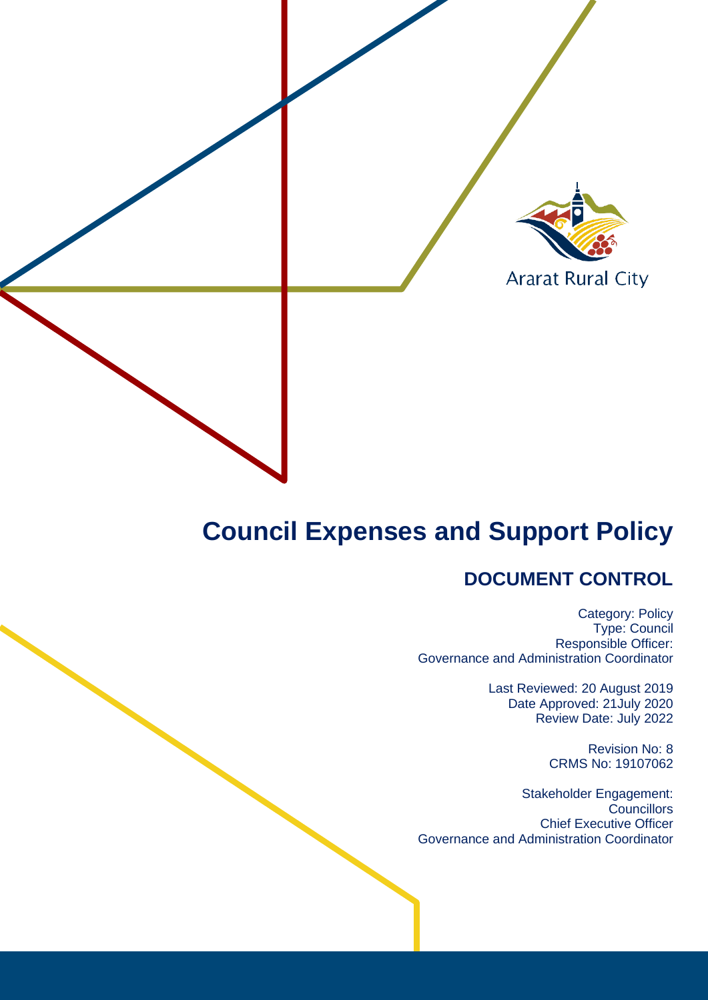

# **Council Expenses and Support Policy**

# **DOCUMENT CONTROL**

Category: Policy Type: Council Responsible Officer: Governance and Administration Coordinator

> Last Reviewed: 20 August 2019 Date Approved: 21July 2020 Review Date: July 2022

> > Revision No: 8 CRMS No: 19107062

Stakeholder Engagement: **Councillors** Chief Executive Officer Governance and Administration Coordinator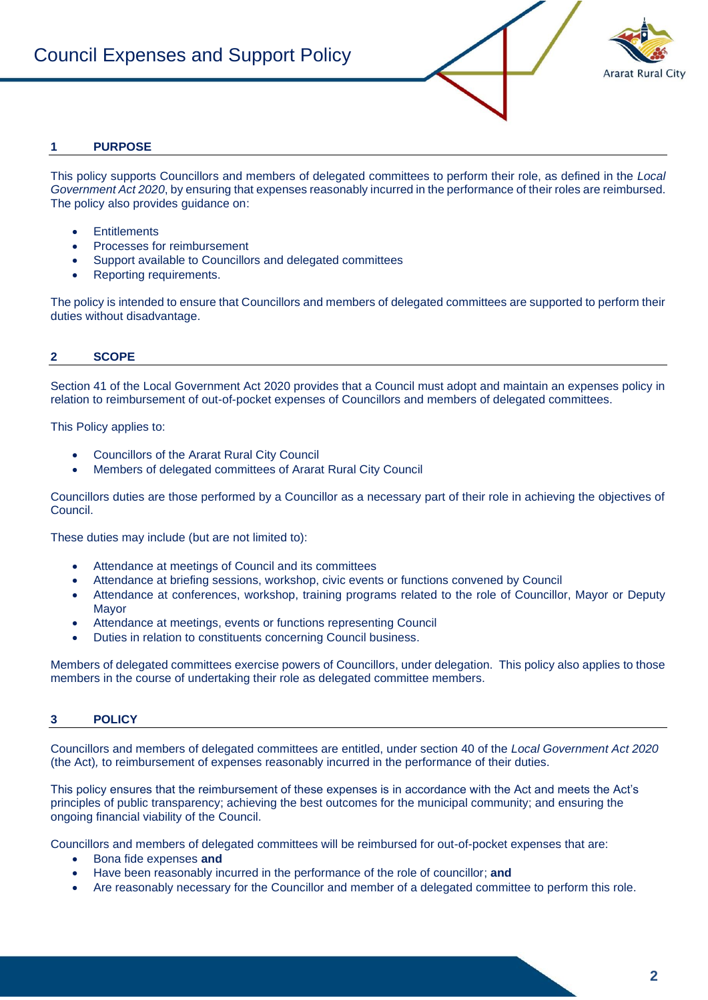

# **1 PURPOSE**

This policy supports Councillors and members of delegated committees to perform their role, as defined in the *Local Government Act 2020*, by ensuring that expenses reasonably incurred in the performance of their roles are reimbursed. The policy also provides guidance on:

- **Entitlements**
- Processes for reimbursement
- Support available to Councillors and delegated committees
- Reporting requirements.

The policy is intended to ensure that Councillors and members of delegated committees are supported to perform their duties without disadvantage.

# **2 SCOPE**

Section 41 of the Local Government Act 2020 provides that a Council must adopt and maintain an expenses policy in relation to reimbursement of out-of-pocket expenses of Councillors and members of delegated committees.

This Policy applies to:

- Councillors of the Ararat Rural City Council
- Members of delegated committees of Ararat Rural City Council

Councillors duties are those performed by a Councillor as a necessary part of their role in achieving the objectives of Council.

These duties may include (but are not limited to):

- Attendance at meetings of Council and its committees
- Attendance at briefing sessions, workshop, civic events or functions convened by Council
- Attendance at conferences, workshop, training programs related to the role of Councillor, Mayor or Deputy Mayor
- Attendance at meetings, events or functions representing Council
- Duties in relation to constituents concerning Council business.

Members of delegated committees exercise powers of Councillors, under delegation. This policy also applies to those members in the course of undertaking their role as delegated committee members.

# **3 POLICY**

Councillors and members of delegated committees are entitled, under section 40 of the *Local Government Act 2020*  (the Act)*,* to reimbursement of expenses reasonably incurred in the performance of their duties.

This policy ensures that the reimbursement of these expenses is in accordance with the Act and meets the Act's principles of public transparency; achieving the best outcomes for the municipal community; and ensuring the ongoing financial viability of the Council.

Councillors and members of delegated committees will be reimbursed for out-of-pocket expenses that are:

- Bona fide expenses **and**
- Have been reasonably incurred in the performance of the role of councillor; **and**
- Are reasonably necessary for the Councillor and member of a delegated committee to perform this role.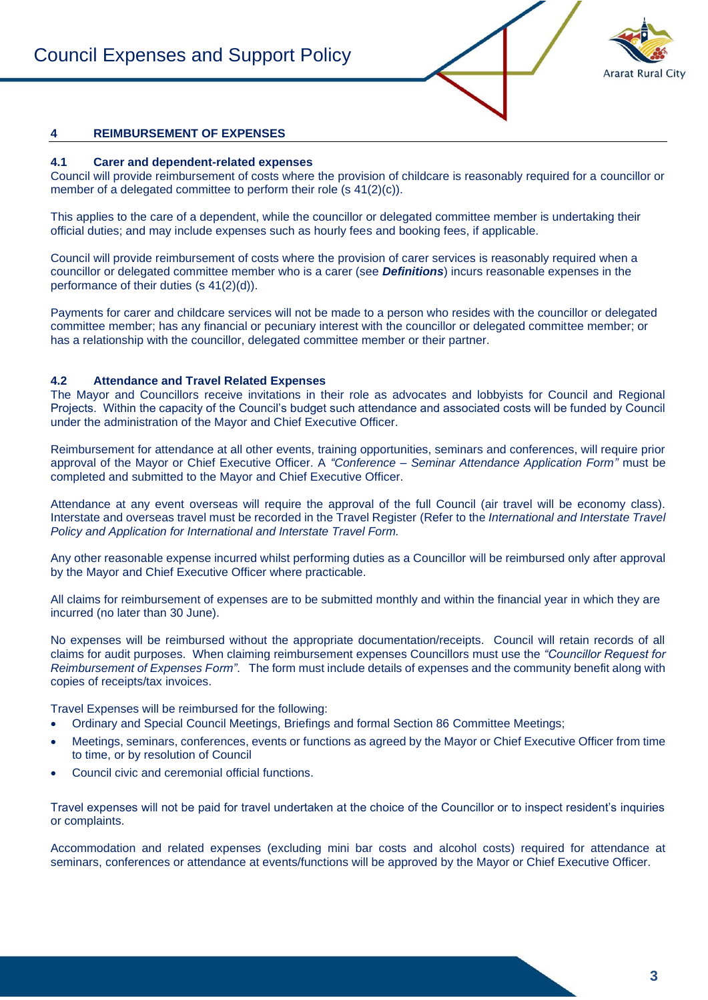

### **4 REIMBURSEMENT OF EXPENSES**

#### **4.1 Carer and dependent-related expenses**

Council will provide reimbursement of costs where the provision of childcare is reasonably required for a councillor or member of a delegated committee to perform their role (s 41(2)(c)).

This applies to the care of a dependent, while the councillor or delegated committee member is undertaking their official duties; and may include expenses such as hourly fees and booking fees, if applicable.

Council will provide reimbursement of costs where the provision of carer services is reasonably required when a councillor or delegated committee member who is a carer (see *Definitions*) incurs reasonable expenses in the performance of their duties (s 41(2)(d)).

Payments for carer and childcare services will not be made to a person who resides with the councillor or delegated committee member; has any financial or pecuniary interest with the councillor or delegated committee member; or has a relationship with the councillor, delegated committee member or their partner.

#### **4.2 Attendance and Travel Related Expenses**

The Mayor and Councillors receive invitations in their role as advocates and lobbyists for Council and Regional Projects. Within the capacity of the Council's budget such attendance and associated costs will be funded by Council under the administration of the Mayor and Chief Executive Officer.

Reimbursement for attendance at all other events, training opportunities, seminars and conferences, will require prior approval of the Mayor or Chief Executive Officer. A *"Conference – Seminar Attendance Application Form"* must be completed and submitted to the Mayor and Chief Executive Officer.

Attendance at any event overseas will require the approval of the full Council (air travel will be economy class). Interstate and overseas travel must be recorded in the Travel Register (Refer to the *International and Interstate Travel Policy and Application for International and Interstate Travel Form.*

Any other reasonable expense incurred whilst performing duties as a Councillor will be reimbursed only after approval by the Mayor and Chief Executive Officer where practicable.

All claims for reimbursement of expenses are to be submitted monthly and within the financial year in which they are incurred (no later than 30 June).

No expenses will be reimbursed without the appropriate documentation/receipts. Council will retain records of all claims for audit purposes. When claiming reimbursement expenses Councillors must use the *"Councillor Request for Reimbursement of Expenses Form"*. The form must include details of expenses and the community benefit along with copies of receipts/tax invoices.

Travel Expenses will be reimbursed for the following:

- Ordinary and Special Council Meetings, Briefings and formal Section 86 Committee Meetings;
- Meetings, seminars, conferences, events or functions as agreed by the Mayor or Chief Executive Officer from time to time, or by resolution of Council
- Council civic and ceremonial official functions.

Travel expenses will not be paid for travel undertaken at the choice of the Councillor or to inspect resident's inquiries or complaints.

Accommodation and related expenses (excluding mini bar costs and alcohol costs) required for attendance at seminars, conferences or attendance at events/functions will be approved by the Mayor or Chief Executive Officer.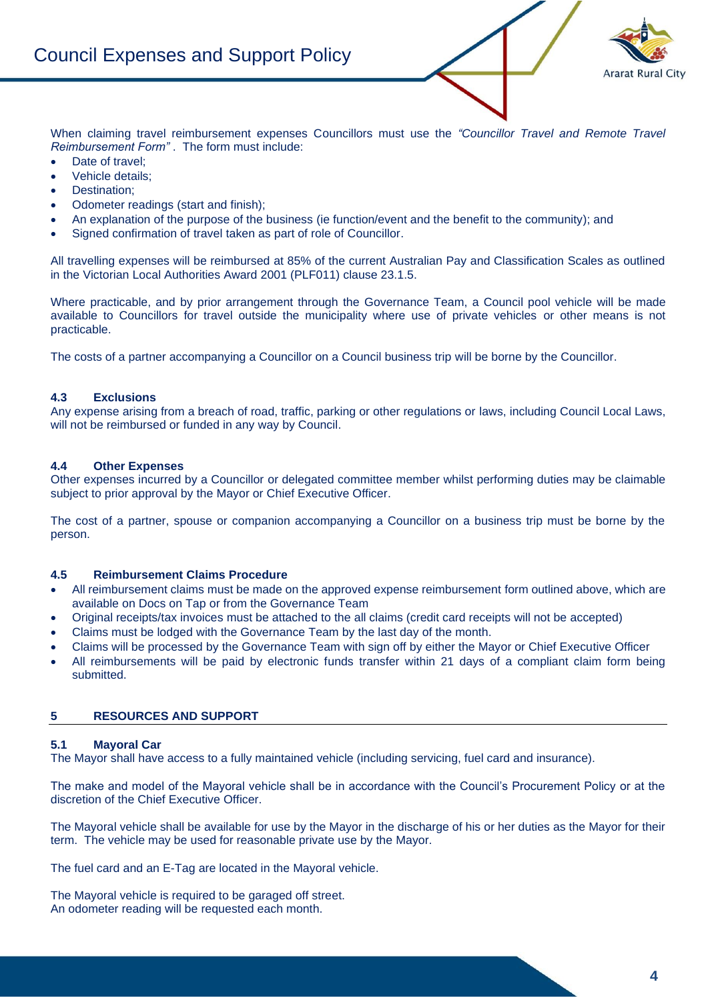

When claiming travel reimbursement expenses Councillors must use the *"Councillor Travel and Remote Travel Reimbursement Form"* . The form must include:

- Date of travel:
- Vehicle details;
- Destination;
- Odometer readings (start and finish);
- An explanation of the purpose of the business (ie function/event and the benefit to the community); and
- Signed confirmation of travel taken as part of role of Councillor.

All travelling expenses will be reimbursed at 85% of the current Australian Pay and Classification Scales as outlined in the Victorian Local Authorities Award 2001 (PLF011) clause 23.1.5.

Where practicable, and by prior arrangement through the Governance Team, a Council pool vehicle will be made available to Councillors for travel outside the municipality where use of private vehicles or other means is not practicable.

The costs of a partner accompanying a Councillor on a Council business trip will be borne by the Councillor.

#### **4.3 Exclusions**

Any expense arising from a breach of road, traffic, parking or other regulations or laws, including Council Local Laws, will not be reimbursed or funded in any way by Council.

#### **4.4 Other Expenses**

Other expenses incurred by a Councillor or delegated committee member whilst performing duties may be claimable subject to prior approval by the Mayor or Chief Executive Officer.

The cost of a partner, spouse or companion accompanying a Councillor on a business trip must be borne by the person.

#### **4.5 Reimbursement Claims Procedure**

- All reimbursement claims must be made on the approved expense reimbursement form outlined above, which are available on Docs on Tap or from the Governance Team
- Original receipts/tax invoices must be attached to the all claims (credit card receipts will not be accepted)
- Claims must be lodged with the Governance Team by the last day of the month.
- Claims will be processed by the Governance Team with sign off by either the Mayor or Chief Executive Officer
- All reimbursements will be paid by electronic funds transfer within 21 days of a compliant claim form being submitted.

#### **5 RESOURCES AND SUPPORT**

#### **5.1 Mayoral Car**

The Mayor shall have access to a fully maintained vehicle (including servicing, fuel card and insurance).

The make and model of the Mayoral vehicle shall be in accordance with the Council's Procurement Policy or at the discretion of the Chief Executive Officer.

The Mayoral vehicle shall be available for use by the Mayor in the discharge of his or her duties as the Mayor for their term. The vehicle may be used for reasonable private use by the Mayor.

The fuel card and an E-Tag are located in the Mayoral vehicle.

The Mayoral vehicle is required to be garaged off street. An odometer reading will be requested each month.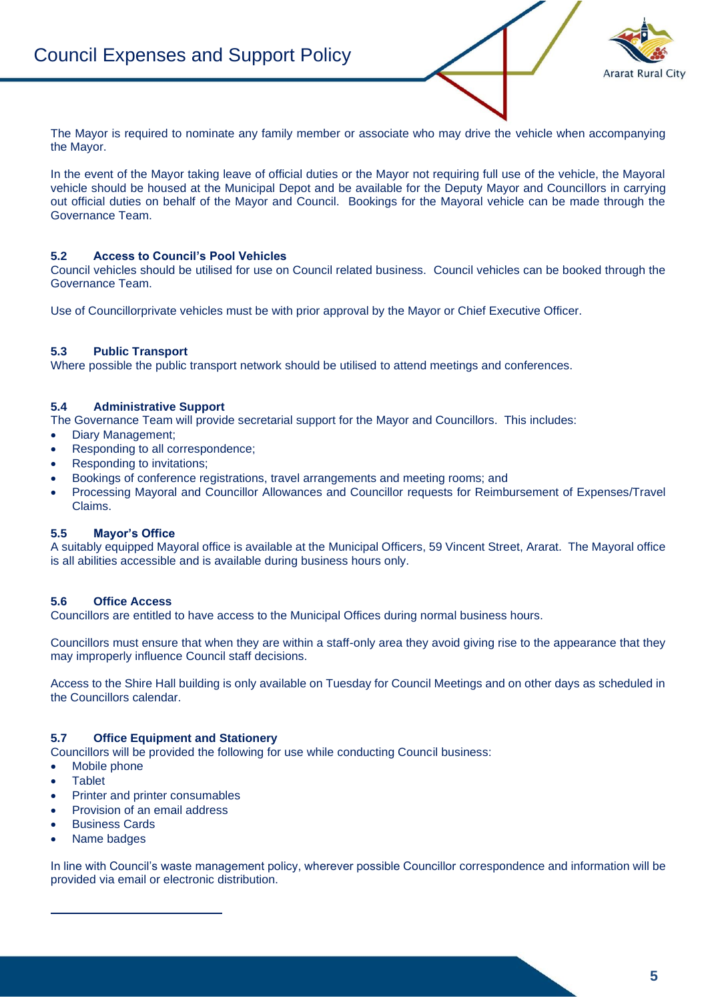

The Mayor is required to nominate any family member or associate who may drive the vehicle when accompanying the Mayor.

In the event of the Mayor taking leave of official duties or the Mayor not requiring full use of the vehicle, the Mayoral vehicle should be housed at the Municipal Depot and be available for the Deputy Mayor and Councillors in carrying out official duties on behalf of the Mayor and Council. Bookings for the Mayoral vehicle can be made through the Governance Team.

# **5.2 Access to Council's Pool Vehicles**

Council vehicles should be utilised for use on Council related business. Council vehicles can be booked through the Governance Team.

Use of Councillorprivate vehicles must be with prior approval by the Mayor or Chief Executive Officer.

#### **5.3 Public Transport**

Where possible the public transport network should be utilised to attend meetings and conferences.

#### **5.4 Administrative Support**

The Governance Team will provide secretarial support for the Mayor and Councillors. This includes:

- Diary Management;
- Responding to all correspondence;
- Responding to invitations;
- Bookings of conference registrations, travel arrangements and meeting rooms; and
- Processing Mayoral and Councillor Allowances and Councillor requests for Reimbursement of Expenses/Travel Claims.

#### **5.5 Mayor's Office**

A suitably equipped Mayoral office is available at the Municipal Officers, 59 Vincent Street, Ararat. The Mayoral office is all abilities accessible and is available during business hours only.

#### **5.6 Office Access**

Councillors are entitled to have access to the Municipal Offices during normal business hours.

Councillors must ensure that when they are within a staff-only area they avoid giving rise to the appearance that they may improperly influence Council staff decisions.

Access to the Shire Hall building is only available on Tuesday for Council Meetings and on other days as scheduled in the Councillors calendar.

#### **5.7 Office Equipment and Stationery**

Councillors will be provided the following for use while conducting Council business:

- Mobile phone
- Tablet
- Printer and printer consumables
- Provision of an email address
- Business Cards
- Name badges

In line with Council's waste management policy, wherever possible Councillor correspondence and information will be provided via email or electronic distribution.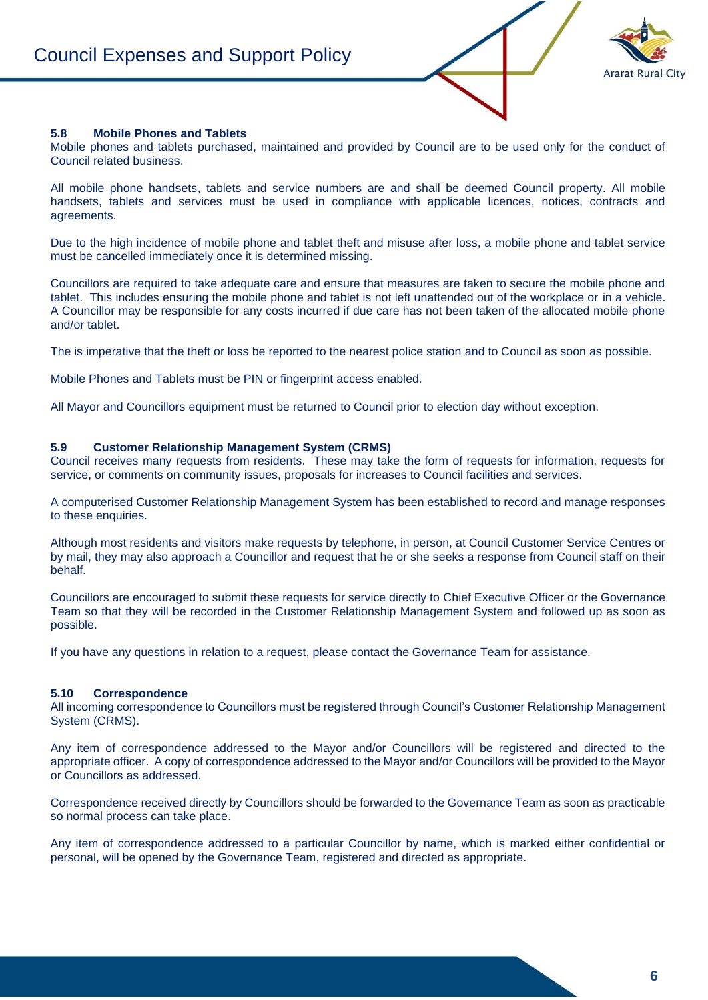

#### **5.8 Mobile Phones and Tablets**

Mobile phones and tablets purchased, maintained and provided by Council are to be used only for the conduct of Council related business.

All mobile phone handsets, tablets and service numbers are and shall be deemed Council property. All mobile handsets, tablets and services must be used in compliance with applicable licences, notices, contracts and agreements.

Due to the high incidence of mobile phone and tablet theft and misuse after loss, a mobile phone and tablet service must be cancelled immediately once it is determined missing.

Councillors are required to take adequate care and ensure that measures are taken to secure the mobile phone and tablet. This includes ensuring the mobile phone and tablet is not left unattended out of the workplace or in a vehicle. A Councillor may be responsible for any costs incurred if due care has not been taken of the allocated mobile phone and/or tablet.

The is imperative that the theft or loss be reported to the nearest police station and to Council as soon as possible.

Mobile Phones and Tablets must be PIN or fingerprint access enabled.

All Mayor and Councillors equipment must be returned to Council prior to election day without exception.

#### **5.9 Customer Relationship Management System (CRMS)**

Council receives many requests from residents. These may take the form of requests for information, requests for service, or comments on community issues, proposals for increases to Council facilities and services.

A computerised Customer Relationship Management System has been established to record and manage responses to these enquiries.

Although most residents and visitors make requests by telephone, in person, at Council Customer Service Centres or by mail, they may also approach a Councillor and request that he or she seeks a response from Council staff on their behalf.

Councillors are encouraged to submit these requests for service directly to Chief Executive Officer or the Governance Team so that they will be recorded in the Customer Relationship Management System and followed up as soon as possible.

If you have any questions in relation to a request, please contact the Governance Team for assistance.

#### **5.10 Correspondence**

All incoming correspondence to Councillors must be registered through Council's Customer Relationship Management System (CRMS).

Any item of correspondence addressed to the Mayor and/or Councillors will be registered and directed to the appropriate officer. A copy of correspondence addressed to the Mayor and/or Councillors will be provided to the Mayor or Councillors as addressed.

Correspondence received directly by Councillors should be forwarded to the Governance Team as soon as practicable so normal process can take place.

Any item of correspondence addressed to a particular Councillor by name, which is marked either confidential or personal, will be opened by the Governance Team, registered and directed as appropriate.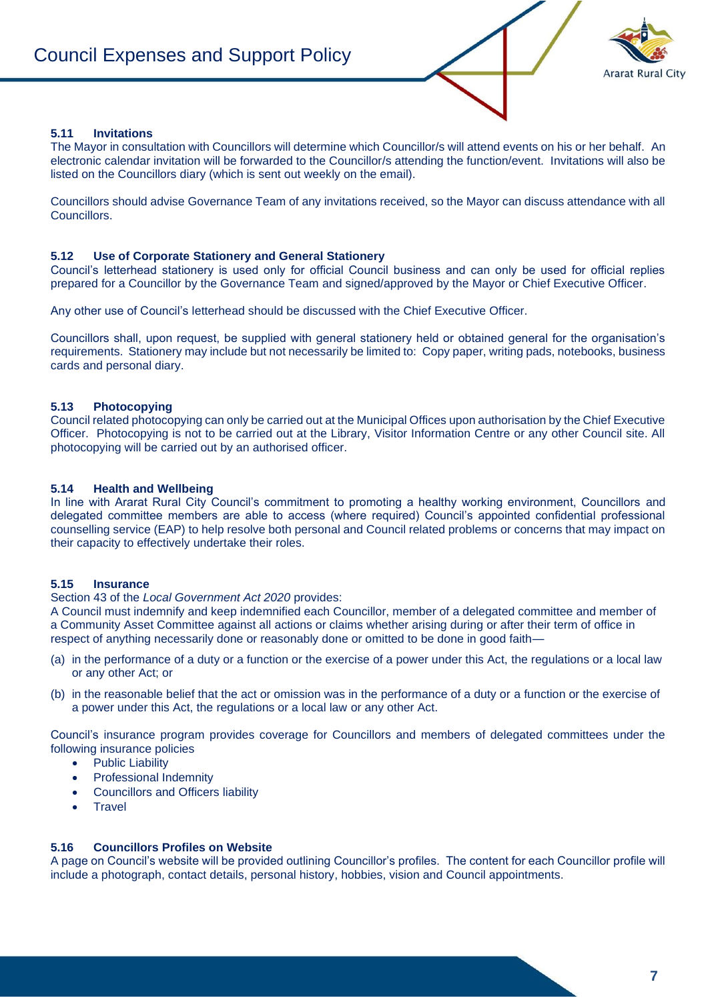

#### **5.11 Invitations**

The Mayor in consultation with Councillors will determine which Councillor/s will attend events on his or her behalf. An electronic calendar invitation will be forwarded to the Councillor/s attending the function/event. Invitations will also be listed on the Councillors diary (which is sent out weekly on the email).

Councillors should advise Governance Team of any invitations received, so the Mayor can discuss attendance with all Councillors.

#### **5.12 Use of Corporate Stationery and General Stationery**

Council's letterhead stationery is used only for official Council business and can only be used for official replies prepared for a Councillor by the Governance Team and signed/approved by the Mayor or Chief Executive Officer.

Any other use of Council's letterhead should be discussed with the Chief Executive Officer.

Councillors shall, upon request, be supplied with general stationery held or obtained general for the organisation's requirements. Stationery may include but not necessarily be limited to: Copy paper, writing pads, notebooks, business cards and personal diary.

#### **5.13 Photocopying**

Council related photocopying can only be carried out at the Municipal Offices upon authorisation by the Chief Executive Officer. Photocopying is not to be carried out at the Library, Visitor Information Centre or any other Council site. All photocopying will be carried out by an authorised officer.

#### **5.14 Health and Wellbeing**

In line with Ararat Rural City Council's commitment to promoting a healthy working environment, Councillors and delegated committee members are able to access (where required) Council's appointed confidential professional counselling service (EAP) to help resolve both personal and Council related problems or concerns that may impact on their capacity to effectively undertake their roles.

#### **5.15 Insurance**

#### Section 43 of the *Local Government Act 2020* provides:

A Council must indemnify and keep indemnified each Councillor, member of a delegated committee and member of a Community Asset Committee against all actions or claims whether arising during or after their term of office in respect of anything necessarily done or reasonably done or omitted to be done in good faith—

- (a) in the performance of a duty or a function or the exercise of a power under this Act, the regulations or a local law or any other Act; or
- (b) in the reasonable belief that the act or omission was in the performance of a duty or a function or the exercise of a power under this Act, the regulations or a local law or any other Act.

Council's insurance program provides coverage for Councillors and members of delegated committees under the following insurance policies

- Public Liability
- Professional Indemnity
- Councillors and Officers liability
- **Travel**

#### **5.16 Councillors Profiles on Website**

A page on Council's website will be provided outlining Councillor's profiles. The content for each Councillor profile will include a photograph, contact details, personal history, hobbies, vision and Council appointments.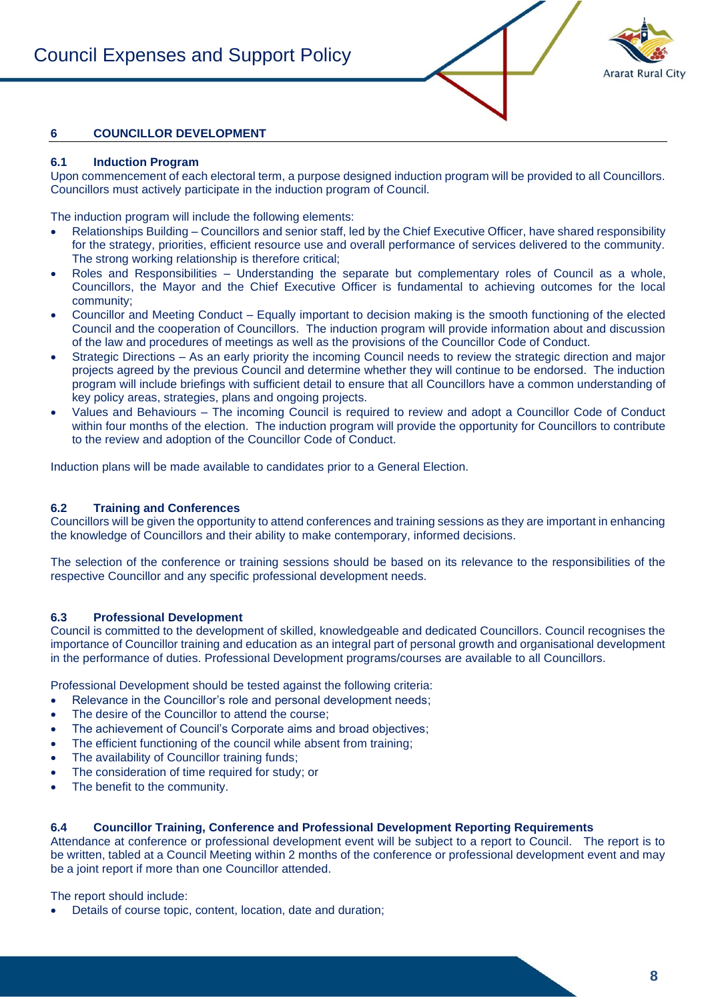

# **6 COUNCILLOR DEVELOPMENT**

#### **6.1 Induction Program**

Upon commencement of each electoral term, a purpose designed induction program will be provided to all Councillors. Councillors must actively participate in the induction program of Council.

The induction program will include the following elements:

- Relationships Building Councillors and senior staff, led by the Chief Executive Officer, have shared responsibility for the strategy, priorities, efficient resource use and overall performance of services delivered to the community. The strong working relationship is therefore critical;
- Roles and Responsibilities Understanding the separate but complementary roles of Council as a whole, Councillors, the Mayor and the Chief Executive Officer is fundamental to achieving outcomes for the local community;
- Councillor and Meeting Conduct Equally important to decision making is the smooth functioning of the elected Council and the cooperation of Councillors. The induction program will provide information about and discussion of the law and procedures of meetings as well as the provisions of the Councillor Code of Conduct.
- Strategic Directions As an early priority the incoming Council needs to review the strategic direction and major projects agreed by the previous Council and determine whether they will continue to be endorsed. The induction program will include briefings with sufficient detail to ensure that all Councillors have a common understanding of key policy areas, strategies, plans and ongoing projects.
- Values and Behaviours The incoming Council is required to review and adopt a Councillor Code of Conduct within four months of the election. The induction program will provide the opportunity for Councillors to contribute to the review and adoption of the Councillor Code of Conduct.

Induction plans will be made available to candidates prior to a General Election.

# **6.2 Training and Conferences**

Councillors will be given the opportunity to attend conferences and training sessions as they are important in enhancing the knowledge of Councillors and their ability to make contemporary, informed decisions.

The selection of the conference or training sessions should be based on its relevance to the responsibilities of the respective Councillor and any specific professional development needs.

#### **6.3 Professional Development**

Council is committed to the development of skilled, knowledgeable and dedicated Councillors. Council recognises the importance of Councillor training and education as an integral part of personal growth and organisational development in the performance of duties. Professional Development programs/courses are available to all Councillors.

Professional Development should be tested against the following criteria:

- Relevance in the Councillor's role and personal development needs:
- The desire of the Councillor to attend the course:
- The achievement of Council's Corporate aims and broad objectives:
- The efficient functioning of the council while absent from training;
- The availability of Councillor training funds;
- The consideration of time required for study; or
- The benefit to the community.

# **6.4 Councillor Training, Conference and Professional Development Reporting Requirements**

Attendance at conference or professional development event will be subject to a report to Council. The report is to be written, tabled at a Council Meeting within 2 months of the conference or professional development event and may be a joint report if more than one Councillor attended.

The report should include:

• Details of course topic, content, location, date and duration;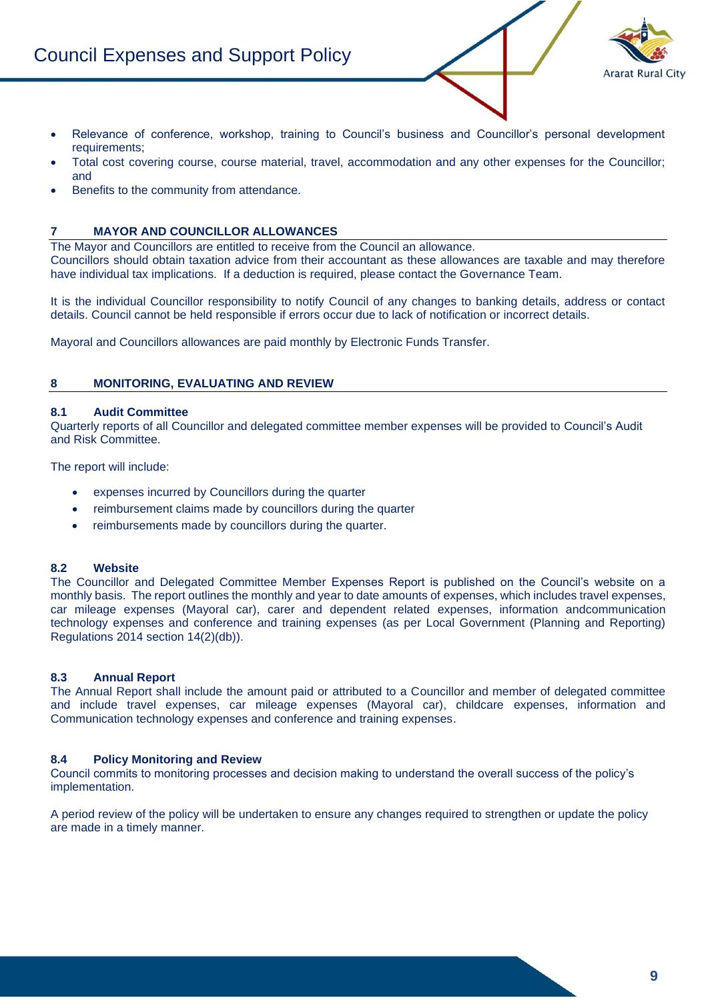# Council Expenses and Support Policy



- Relevance of conference, workshop, training to Council's business and Councillor's personal development requirements;
- Total cost covering course, course material, travel, accommodation and any other expenses for the Councillor; and
- Benefits to the community from attendance.

### **7 MAYOR AND COUNCILLOR ALLOWANCES**

The Mayor and Councillors are entitled to receive from the Council an allowance.

Councillors should obtain taxation advice from their accountant as these allowances are taxable and may therefore have individual tax implications. If a deduction is required, please contact the Governance Team.

It is the individual Councillor responsibility to notify Council of any changes to banking details, address or contact details. Council cannot be held responsible if errors occur due to lack of notification or incorrect details.

Mayoral and Councillors allowances are paid monthly by Electronic Funds Transfer.

#### **8 MONITORING, EVALUATING AND REVIEW**

#### **8.1 Audit Committee**

Quarterly reports of all Councillor and delegated committee member expenses will be provided to Council's Audit and Risk Committee.

The report will include:

- expenses incurred by Councillors during the quarter
- reimbursement claims made by councillors during the quarter
- reimbursements made by councillors during the quarter.

#### **8.2 Website**

The Councillor and Delegated Committee Member Expenses Report is published on the Council's website on a monthly basis. The report outlines the monthly and year to date amounts of expenses, which includes travel expenses, car mileage expenses (Mayoral car), carer and dependent related expenses, information andcommunication technology expenses and conference and training expenses (as per Local Government (Planning and Reporting) Regulations 2014 section 14(2)(db)).

#### **8.3 Annual Report**

The Annual Report shall include the amount paid or attributed to a Councillor and member of delegated committee and include travel expenses, car mileage expenses (Mayoral car), childcare expenses, information and Communication technology expenses and conference and training expenses.

#### **8.4 Policy Monitoring and Review**

Council commits to monitoring processes and decision making to understand the overall success of the policy's implementation.

A period review of the policy will be undertaken to ensure any changes required to strengthen or update the policy are made in a timely manner.